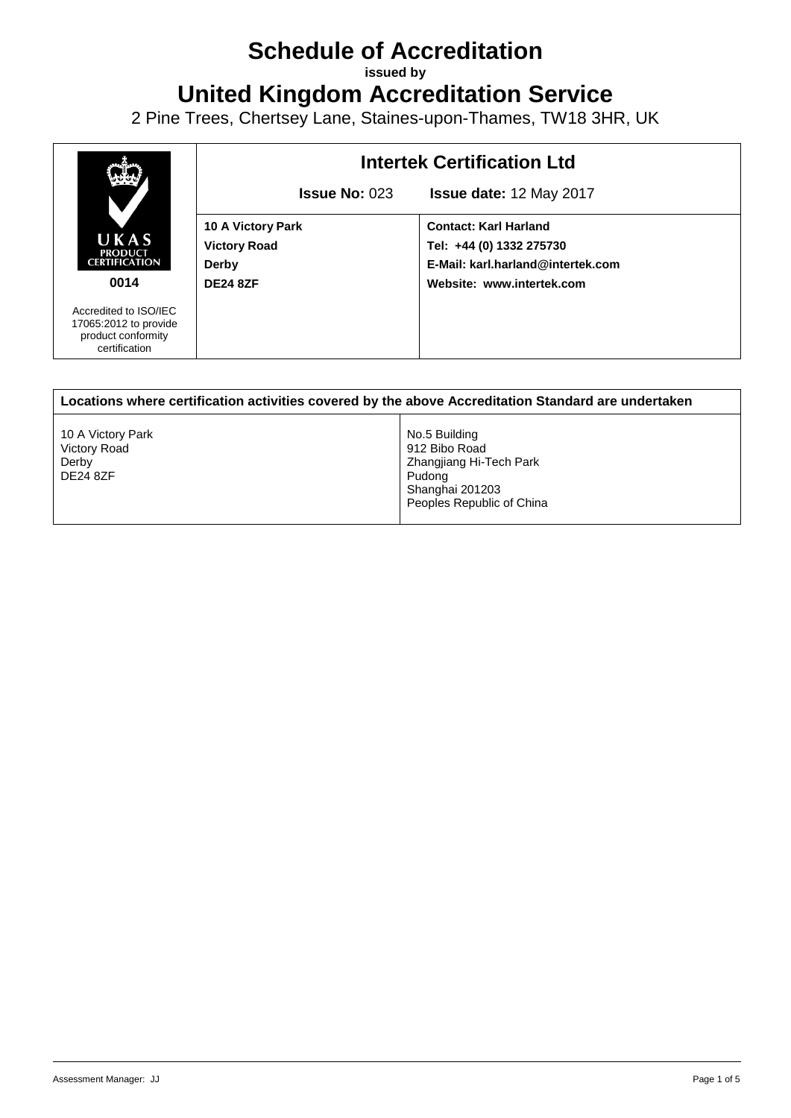## **Schedule of Accreditation**

**issued by**

**United Kingdom Accreditation Service**

2 Pine Trees, Chertsey Lane, Staines-upon-Thames, TW18 3HR, UK



| Locations where certification activities covered by the above Accreditation Standard are undertaken |                                                                                                                     |  |
|-----------------------------------------------------------------------------------------------------|---------------------------------------------------------------------------------------------------------------------|--|
| 10 A Victory Park<br>Victory Road<br>Derby<br><b>DE24 8ZF</b>                                       | No.5 Building<br>912 Bibo Road<br>Zhangjiang Hi-Tech Park<br>Pudona<br>Shanghai 201203<br>Peoples Republic of China |  |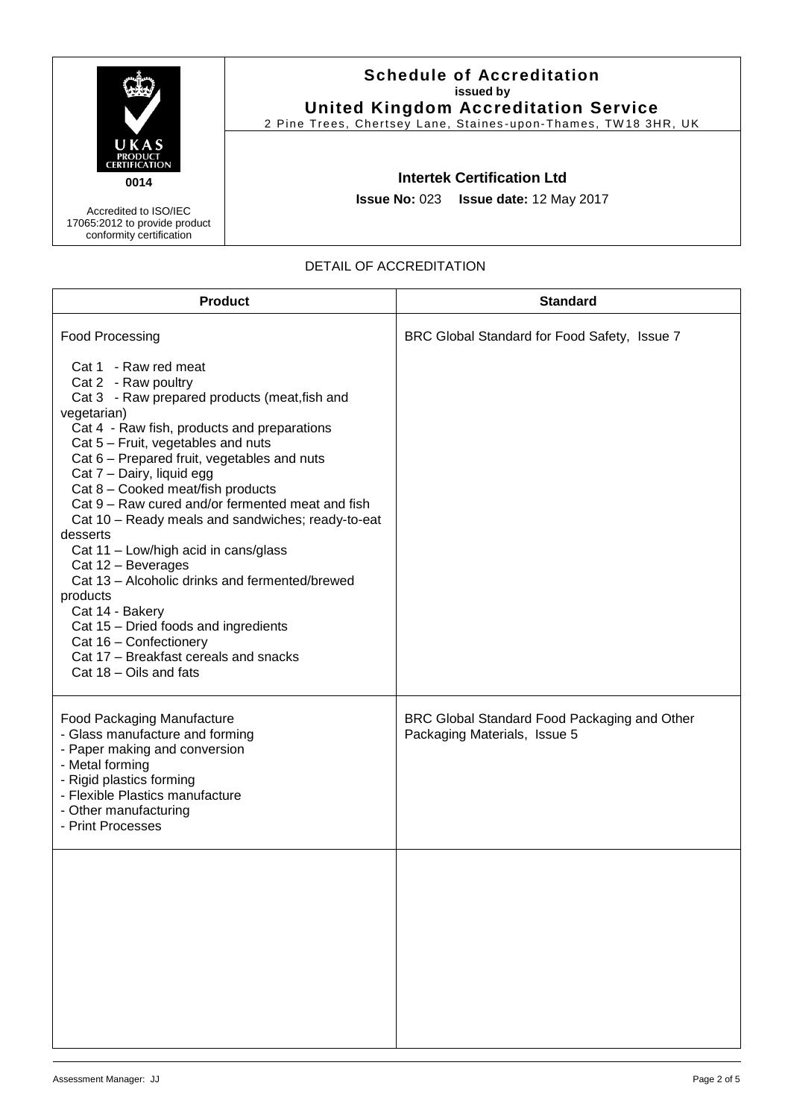|                                                                                    | <b>Schedule of Accreditation</b><br>issued by<br><b>United Kingdom Accreditation Service</b><br>2 Pine Trees, Chertsey Lane, Staines-upon-Thames, TW18 3HR, UK |
|------------------------------------------------------------------------------------|----------------------------------------------------------------------------------------------------------------------------------------------------------------|
| UKAS<br><b>PRODUCT</b><br><b>CERTIFICATION</b><br>0014                             | <b>Intertek Certification Ltd</b>                                                                                                                              |
| Accredited to ISO/IEC<br>17065:2012 to provide product<br>conformity certification | <b>Issue No: 023 Issue date: 12 May 2017</b>                                                                                                                   |

| DETAIL OF ACCREDITATION |
|-------------------------|
|-------------------------|

| <b>Product</b>                                                                                                                                                                                                                                                                                                                                                                                                                                                                                                                                                                                                                                                                                                             | <b>Standard</b>                                                              |
|----------------------------------------------------------------------------------------------------------------------------------------------------------------------------------------------------------------------------------------------------------------------------------------------------------------------------------------------------------------------------------------------------------------------------------------------------------------------------------------------------------------------------------------------------------------------------------------------------------------------------------------------------------------------------------------------------------------------------|------------------------------------------------------------------------------|
| <b>Food Processing</b>                                                                                                                                                                                                                                                                                                                                                                                                                                                                                                                                                                                                                                                                                                     | BRC Global Standard for Food Safety, Issue 7                                 |
| Cat 1 - Raw red meat<br>Cat 2 - Raw poultry<br>Cat 3 - Raw prepared products (meat, fish and<br>vegetarian)<br>Cat 4 - Raw fish, products and preparations<br>Cat 5 - Fruit, vegetables and nuts<br>Cat 6 – Prepared fruit, vegetables and nuts<br>Cat 7 - Dairy, liquid egg<br>Cat 8 - Cooked meat/fish products<br>Cat 9 – Raw cured and/or fermented meat and fish<br>Cat 10 - Ready meals and sandwiches; ready-to-eat<br>desserts<br>Cat 11 - Low/high acid in cans/glass<br>Cat 12 - Beverages<br>Cat 13 - Alcoholic drinks and fermented/brewed<br>products<br>Cat 14 - Bakery<br>Cat 15 - Dried foods and ingredients<br>Cat 16 - Confectionery<br>Cat 17 - Breakfast cereals and snacks<br>Cat 18 - Oils and fats |                                                                              |
| <b>Food Packaging Manufacture</b><br>- Glass manufacture and forming<br>- Paper making and conversion<br>- Metal forming<br>- Rigid plastics forming<br>- Flexible Plastics manufacture<br>- Other manufacturing<br>- Print Processes                                                                                                                                                                                                                                                                                                                                                                                                                                                                                      | BRC Global Standard Food Packaging and Other<br>Packaging Materials, Issue 5 |
|                                                                                                                                                                                                                                                                                                                                                                                                                                                                                                                                                                                                                                                                                                                            |                                                                              |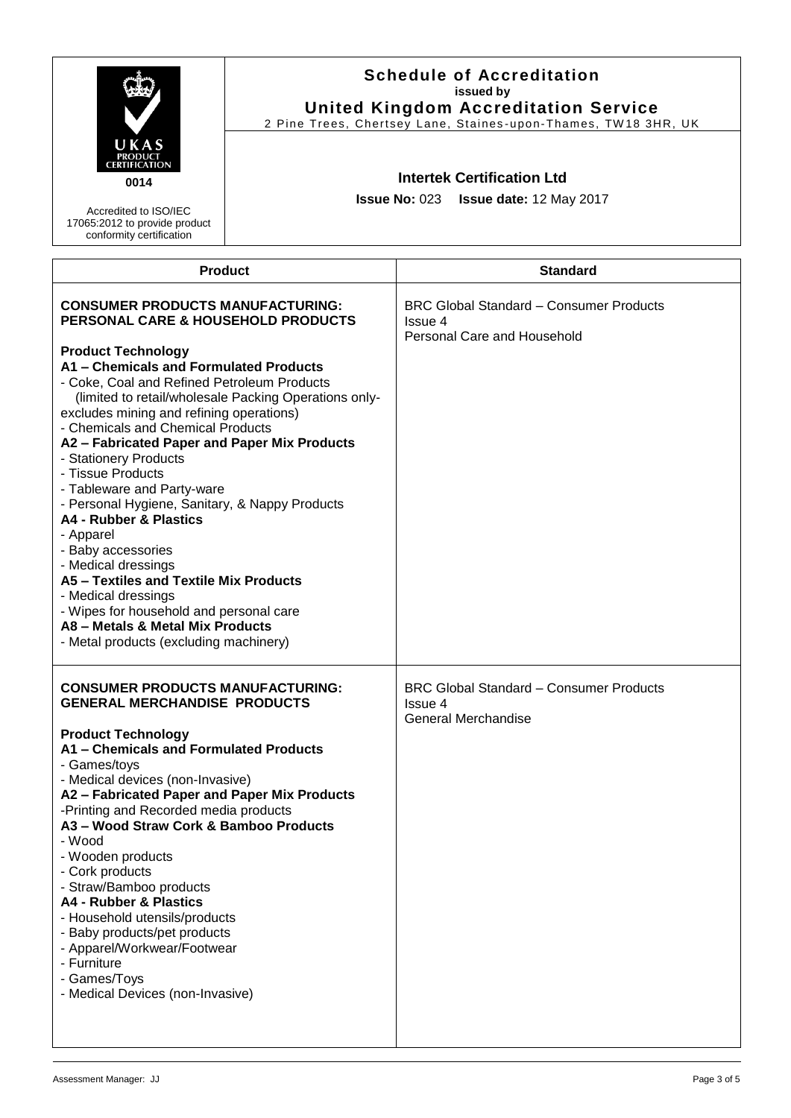|                                                                                                                                                                                                                                                                                                                                                                                                                                                                                                                                                                                                                                                                                                                                                                                                           | <b>Schedule of Accreditation</b><br>issued by<br><b>United Kingdom Accreditation Service</b><br>2 Pine Trees, Chertsey Lane, Staines-upon-Thames, TW18 3HR, UK |                                                                                          |
|-----------------------------------------------------------------------------------------------------------------------------------------------------------------------------------------------------------------------------------------------------------------------------------------------------------------------------------------------------------------------------------------------------------------------------------------------------------------------------------------------------------------------------------------------------------------------------------------------------------------------------------------------------------------------------------------------------------------------------------------------------------------------------------------------------------|----------------------------------------------------------------------------------------------------------------------------------------------------------------|------------------------------------------------------------------------------------------|
| UKAS<br>CERTIFICATION<br>0014<br>Accredited to ISO/IEC<br>17065:2012 to provide product<br>conformity certification                                                                                                                                                                                                                                                                                                                                                                                                                                                                                                                                                                                                                                                                                       | <b>Intertek Certification Ltd</b><br>Issue No: 023   Issue date: 12 May 2017                                                                                   |                                                                                          |
| <b>Product</b>                                                                                                                                                                                                                                                                                                                                                                                                                                                                                                                                                                                                                                                                                                                                                                                            |                                                                                                                                                                | <b>Standard</b>                                                                          |
| <b>CONSUMER PRODUCTS MANUFACTURING:</b><br>PERSONAL CARE & HOUSEHOLD PRODUCTS<br><b>Product Technology</b><br>A1 - Chemicals and Formulated Products<br>- Coke, Coal and Refined Petroleum Products<br>(limited to retail/wholesale Packing Operations only-<br>excludes mining and refining operations)<br>- Chemicals and Chemical Products<br>A2 - Fabricated Paper and Paper Mix Products<br>- Stationery Products<br>- Tissue Products<br>- Tableware and Party-ware<br>- Personal Hygiene, Sanitary, & Nappy Products<br>A4 - Rubber & Plastics<br>- Apparel<br>- Baby accessories<br>- Medical dressings<br>A5 - Textiles and Textile Mix Products<br>- Medical dressings<br>- Wipes for household and personal care<br>A8 - Metals & Metal Mix Products<br>- Metal products (excluding machinery) |                                                                                                                                                                | <b>BRC Global Standard - Consumer Products</b><br>Issue 4<br>Personal Care and Household |
| <b>CONSUMER PRODUCTS MANUFACTURING:</b><br><b>GENERAL MERCHANDISE PRODUCTS</b><br><b>Product Technology</b><br>A1 - Chemicals and Formulated Products<br>- Games/toys<br>- Medical devices (non-Invasive)<br>A2 - Fabricated Paper and Paper Mix Products<br>-Printing and Recorded media products<br>A3 - Wood Straw Cork & Bamboo Products<br>- Wood<br>- Wooden products<br>- Cork products<br>- Straw/Bamboo products<br>A4 - Rubber & Plastics<br>- Household utensils/products<br>- Baby products/pet products<br>- Apparel/Workwear/Footwear<br>- Furniture<br>- Games/Toys<br>- Medical Devices (non-Invasive)                                                                                                                                                                                    |                                                                                                                                                                | <b>BRC Global Standard - Consumer Products</b><br>Issue 4<br>General Merchandise         |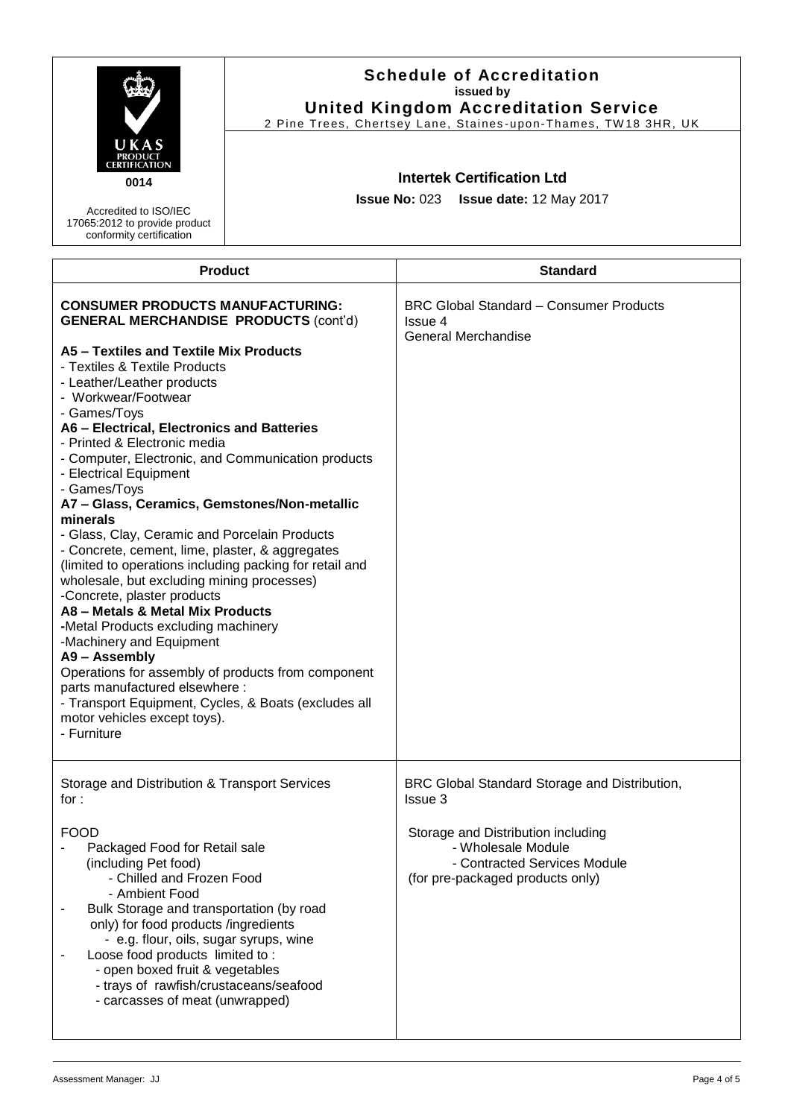|                                                                                                                                                                                                                                                                                                                                                                                                                                                                                                                                                                                                                                                                                                                                                                                                                                                                                                                                                                                                                                                      | <b>Schedule of Accreditation</b><br>issued by<br><b>United Kingdom Accreditation Service</b><br>2 Pine Trees, Chertsey Lane, Staines-upon-Thames, TW18 3HR, UK |                                                                                                                                                                                          |
|------------------------------------------------------------------------------------------------------------------------------------------------------------------------------------------------------------------------------------------------------------------------------------------------------------------------------------------------------------------------------------------------------------------------------------------------------------------------------------------------------------------------------------------------------------------------------------------------------------------------------------------------------------------------------------------------------------------------------------------------------------------------------------------------------------------------------------------------------------------------------------------------------------------------------------------------------------------------------------------------------------------------------------------------------|----------------------------------------------------------------------------------------------------------------------------------------------------------------|------------------------------------------------------------------------------------------------------------------------------------------------------------------------------------------|
| UKAS<br>PRODUCT<br>CERTIFICATION<br>0014<br>Accredited to ISO/IEC<br>17065:2012 to provide product<br>conformity certification                                                                                                                                                                                                                                                                                                                                                                                                                                                                                                                                                                                                                                                                                                                                                                                                                                                                                                                       | <b>Intertek Certification Ltd</b><br><b>Issue No: 023</b><br>Issue date: 12 May 2017                                                                           |                                                                                                                                                                                          |
|                                                                                                                                                                                                                                                                                                                                                                                                                                                                                                                                                                                                                                                                                                                                                                                                                                                                                                                                                                                                                                                      | <b>Product</b>                                                                                                                                                 | <b>Standard</b>                                                                                                                                                                          |
| <b>CONSUMER PRODUCTS MANUFACTURING:</b><br><b>GENERAL MERCHANDISE PRODUCTS (cont'd)</b><br>A5 - Textiles and Textile Mix Products<br>- Textiles & Textile Products<br>- Leather/Leather products<br>- Workwear/Footwear<br>- Games/Toys<br>A6 - Electrical, Electronics and Batteries<br>- Printed & Electronic media<br>- Computer, Electronic, and Communication products<br>- Electrical Equipment<br>- Games/Toys<br>A7 - Glass, Ceramics, Gemstones/Non-metallic<br>minerals<br>- Glass, Clay, Ceramic and Porcelain Products<br>- Concrete, cement, lime, plaster, & aggregates<br>(limited to operations including packing for retail and<br>wholesale, but excluding mining processes)<br>-Concrete, plaster products<br>A8 - Metals & Metal Mix Products<br>-Metal Products excluding machinery<br>-Machinery and Equipment<br>A9 - Assembly<br>Operations for assembly of products from component<br>parts manufactured elsewhere :<br>- Transport Equipment, Cycles, & Boats (excludes all<br>motor vehicles except toys).<br>- Furniture |                                                                                                                                                                | <b>BRC Global Standard - Consumer Products</b><br>Issue 4<br><b>General Merchandise</b>                                                                                                  |
| Storage and Distribution & Transport Services<br>for $:$<br><b>FOOD</b><br>Packaged Food for Retail sale<br>(including Pet food)<br>- Chilled and Frozen Food<br>- Ambient Food<br>Bulk Storage and transportation (by road<br>$\overline{\phantom{a}}$<br>only) for food products /ingredients<br>- e.g. flour, oils, sugar syrups, wine<br>Loose food products limited to:<br>- open boxed fruit & vegetables<br>- trays of rawfish/crustaceans/seafood<br>- carcasses of meat (unwrapped)                                                                                                                                                                                                                                                                                                                                                                                                                                                                                                                                                         |                                                                                                                                                                | BRC Global Standard Storage and Distribution,<br>Issue 3<br>Storage and Distribution including<br>- Wholesale Module<br>- Contracted Services Module<br>(for pre-packaged products only) |